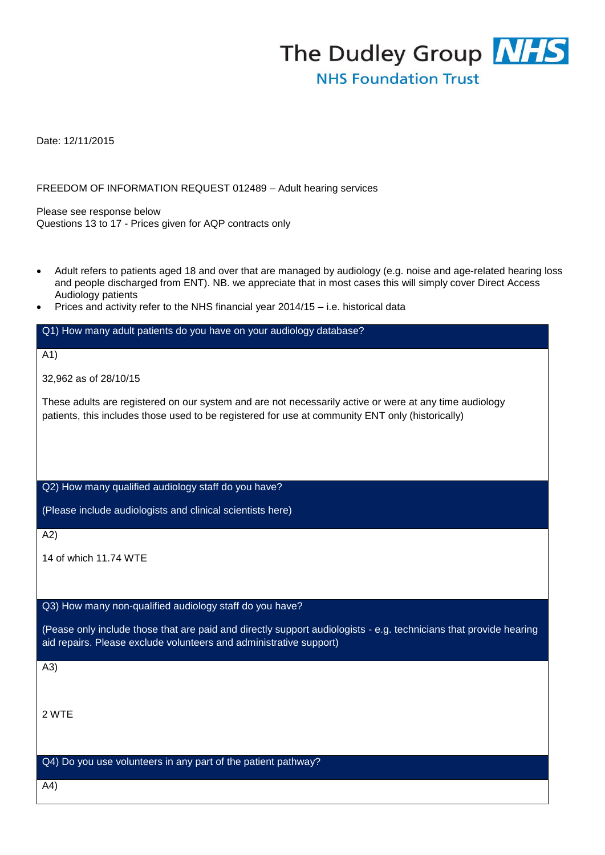

Date: 12/11/2015

FREEDOM OF INFORMATION REQUEST 012489 – Adult hearing services

Please see response below Questions 13 to 17 - Prices given for AQP contracts only

- Adult refers to patients aged 18 and over that are managed by audiology (e.g. noise and age-related hearing loss and people discharged from ENT). NB. we appreciate that in most cases this will simply cover Direct Access Audiology patients
- Prices and activity refer to the NHS financial year 2014/15 i.e. historical data

#### Q1) How many adult patients do you have on your audiology database?

A1)

32,962 as of 28/10/15

These adults are registered on our system and are not necessarily active or were at any time audiology patients, this includes those used to be registered for use at community ENT only (historically)

Q2) How many qualified audiology staff do you have?

(Please include audiologists and clinical scientists here)

A2)

14 of which 11.74 WTE

### Q3) How many non-qualified audiology staff do you have?

(Pease only include those that are paid and directly support audiologists - e.g. technicians that provide hearing aid repairs. Please exclude volunteers and administrative support)

A3)

2 WTE

Q4) Do you use volunteers in any part of the patient pathway?

A4)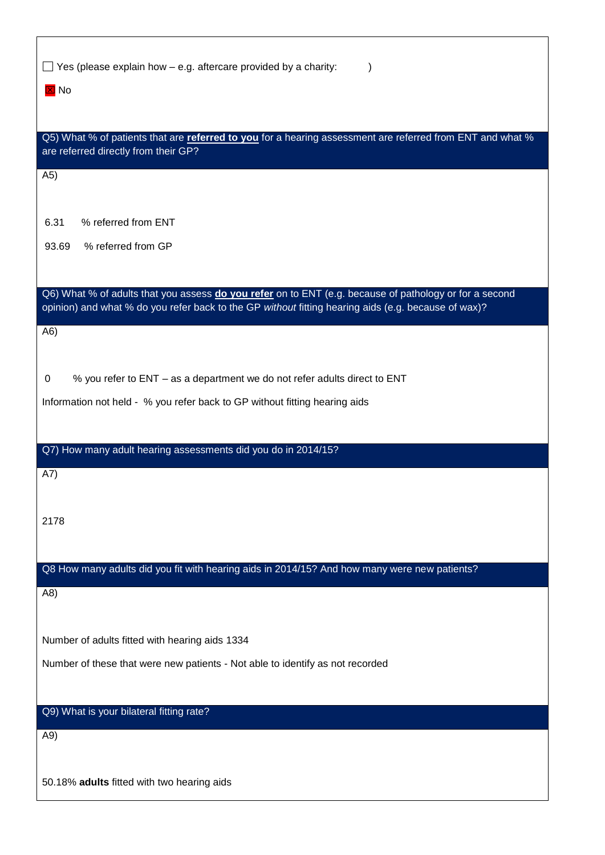| $\Box$ Yes (please explain how $-$ e.g. aftercare provided by a charity:<br>$\boxtimes$ No                                                                                                                    |
|---------------------------------------------------------------------------------------------------------------------------------------------------------------------------------------------------------------|
| Q5) What % of patients that are referred to you for a hearing assessment are referred from ENT and what %<br>are referred directly from their GP?                                                             |
| (A5)                                                                                                                                                                                                          |
| 6.31<br>% referred from ENT                                                                                                                                                                                   |
| 93.69<br>% referred from GP                                                                                                                                                                                   |
| Q6) What % of adults that you assess do you refer on to ENT (e.g. because of pathology or for a second<br>opinion) and what % do you refer back to the GP without fitting hearing aids (e.g. because of wax)? |
| A6)                                                                                                                                                                                                           |
| % you refer to ENT - as a department we do not refer adults direct to ENT<br>0                                                                                                                                |
| Information not held - % you refer back to GP without fitting hearing aids                                                                                                                                    |
| Q7) How many adult hearing assessments did you do in 2014/15?                                                                                                                                                 |
| A7)                                                                                                                                                                                                           |
| 2178                                                                                                                                                                                                          |
| Q8 How many adults did you fit with hearing aids in 2014/15? And how many were new patients?                                                                                                                  |
| (A8)                                                                                                                                                                                                          |
| Number of adults fitted with hearing aids 1334                                                                                                                                                                |
| Number of these that were new patients - Not able to identify as not recorded                                                                                                                                 |
| Q9) What is your bilateral fitting rate?                                                                                                                                                                      |
| A9)                                                                                                                                                                                                           |
| 50.18% adults fitted with two hearing aids                                                                                                                                                                    |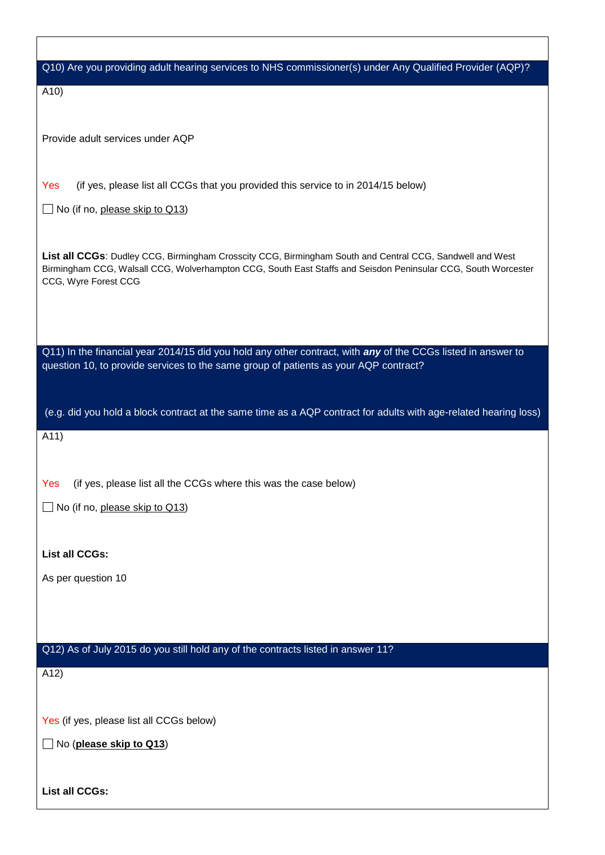| Q10) Are you providing adult hearing services to NHS commissioner(s) under Any Qualified Provider (AQP)?                                                                                                                                          |
|---------------------------------------------------------------------------------------------------------------------------------------------------------------------------------------------------------------------------------------------------|
| A10)                                                                                                                                                                                                                                              |
|                                                                                                                                                                                                                                                   |
| Provide adult services under AQP                                                                                                                                                                                                                  |
|                                                                                                                                                                                                                                                   |
| (if yes, please list all CCGs that you provided this service to in 2014/15 below)<br>Yes                                                                                                                                                          |
| $\Box$ No (if no, please skip to Q13)                                                                                                                                                                                                             |
|                                                                                                                                                                                                                                                   |
| List all CCGs: Dudley CCG, Birmingham Crosscity CCG, Birmingham South and Central CCG, Sandwell and West<br>Birmingham CCG, Walsall CCG, Wolverhampton CCG, South East Staffs and Seisdon Peninsular CCG, South Worcester<br>CCG, Wyre Forest CCG |
|                                                                                                                                                                                                                                                   |
| Q11) In the financial year 2014/15 did you hold any other contract, with any of the CCGs listed in answer to                                                                                                                                      |
| question 10, to provide services to the same group of patients as your AQP contract?                                                                                                                                                              |
|                                                                                                                                                                                                                                                   |
| (e.g. did you hold a block contract at the same time as a AQP contract for adults with age-related hearing loss)                                                                                                                                  |
| A11)                                                                                                                                                                                                                                              |
|                                                                                                                                                                                                                                                   |
| (if yes, please list all the CCGs where this was the case below)<br>Yes                                                                                                                                                                           |
| No (if no, please skip to Q13)                                                                                                                                                                                                                    |
|                                                                                                                                                                                                                                                   |
| <b>List all CCGs:</b>                                                                                                                                                                                                                             |
| As per question 10                                                                                                                                                                                                                                |
|                                                                                                                                                                                                                                                   |
|                                                                                                                                                                                                                                                   |
| Q12) As of July 2015 do you still hold any of the contracts listed in answer 11?                                                                                                                                                                  |
| A12)                                                                                                                                                                                                                                              |
|                                                                                                                                                                                                                                                   |
| Yes (if yes, please list all CCGs below)                                                                                                                                                                                                          |
| No (please skip to Q13)                                                                                                                                                                                                                           |
|                                                                                                                                                                                                                                                   |
| <b>List all CCGs:</b>                                                                                                                                                                                                                             |
|                                                                                                                                                                                                                                                   |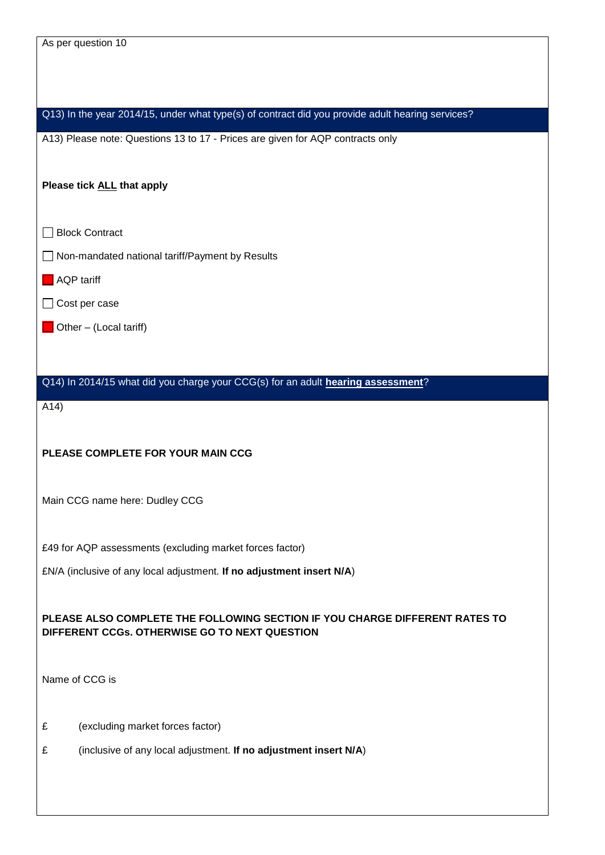| As per question 10                                                                               |
|--------------------------------------------------------------------------------------------------|
|                                                                                                  |
|                                                                                                  |
| Q13) In the year 2014/15, under what type(s) of contract did you provide adult hearing services? |
| A13) Please note: Questions 13 to 17 - Prices are given for AQP contracts only                   |
|                                                                                                  |
| Please tick ALL that apply                                                                       |
|                                                                                                  |
| <b>Block Contract</b>                                                                            |
| Non-mandated national tariff/Payment by Results                                                  |
| <b>AQP</b> tariff                                                                                |
| Cost per case                                                                                    |
| Other - (Local tariff)                                                                           |
|                                                                                                  |
| Q14) In 2014/15 what did you charge your CCG(s) for an adult hearing assessment?                 |
| A14)                                                                                             |
|                                                                                                  |
| PLEASE COMPLETE FOR YOUR MAIN CCG                                                                |
|                                                                                                  |
| Main CCG name here: Dudley CCG                                                                   |
|                                                                                                  |
| £49 for AQP assessments (excluding market forces factor)                                         |
| £N/A (inclusive of any local adjustment. If no adjustment insert N/A)                            |
|                                                                                                  |
| PLEASE ALSO COMPLETE THE FOLLOWING SECTION IF YOU CHARGE DIFFERENT RATES TO                      |
| DIFFERENT CCGs. OTHERWISE GO TO NEXT QUESTION                                                    |
|                                                                                                  |
| Name of CCG is                                                                                   |
|                                                                                                  |
| (excluding market forces factor)<br>£                                                            |
| £<br>(inclusive of any local adjustment. If no adjustment insert N/A)                            |
|                                                                                                  |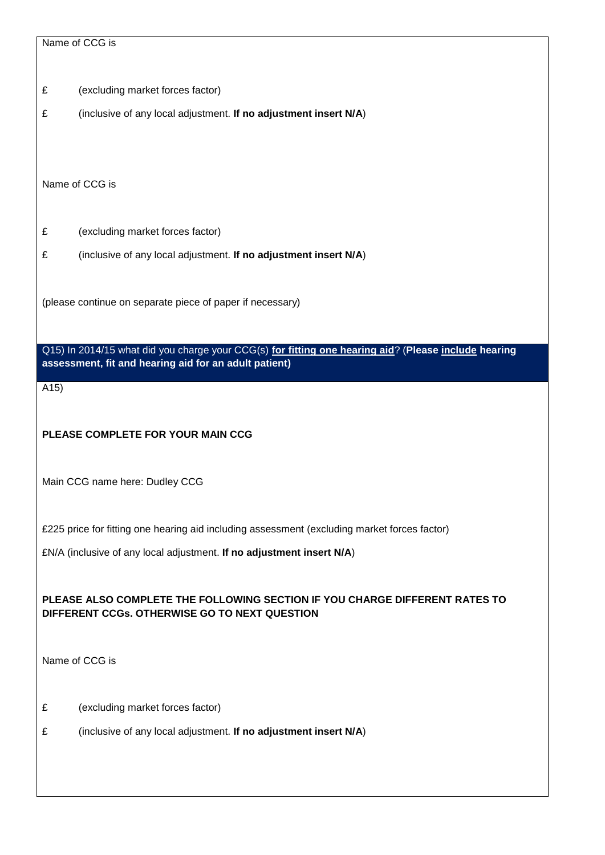£ (excluding market forces factor)

£ (inclusive of any local adjustment. **If no adjustment insert N/A**)

Name of CCG is

- £ (excluding market forces factor)
- £ (inclusive of any local adjustment. **If no adjustment insert N/A**)

(please continue on separate piece of paper if necessary)

Q15) In 2014/15 what did you charge your CCG(s) **for fitting one hearing aid**? (**Please include hearing assessment, fit and hearing aid for an adult patient)**

A15)

**PLEASE COMPLETE FOR YOUR MAIN CCG**

Main CCG name here: Dudley CCG

£225 price for fitting one hearing aid including assessment (excluding market forces factor)

£N/A (inclusive of any local adjustment. **If no adjustment insert N/A**)

**PLEASE ALSO COMPLETE THE FOLLOWING SECTION IF YOU CHARGE DIFFERENT RATES TO DIFFERENT CCGs. OTHERWISE GO TO NEXT QUESTION** 

Name of CCG is

- £ (excluding market forces factor)
- £ (inclusive of any local adjustment. **If no adjustment insert N/A**)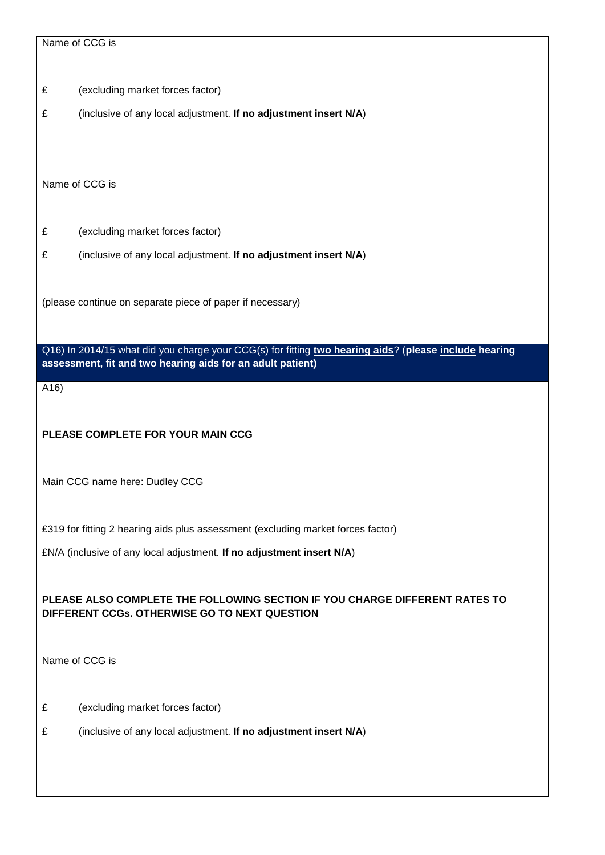|     | Name of CCG is                                                                                        |
|-----|-------------------------------------------------------------------------------------------------------|
|     |                                                                                                       |
| £   | (excluding market forces factor)                                                                      |
| £   | (inclusive of any local adjustment. If no adjustment insert N/A)                                      |
|     |                                                                                                       |
|     |                                                                                                       |
|     | Name of CCG is                                                                                        |
|     |                                                                                                       |
|     |                                                                                                       |
| £   | (excluding market forces factor)                                                                      |
| £   | (inclusive of any local adjustment. If no adjustment insert N/A)                                      |
|     |                                                                                                       |
|     | (please continue on separate piece of paper if necessary)                                             |
|     |                                                                                                       |
|     | Q16) In 2014/15 what did you charge your CCG(s) for fitting two hearing aids? (please include hearing |
|     | assessment, fit and two hearing aids for an adult patient)                                            |
| A16 |                                                                                                       |
|     |                                                                                                       |
|     | PLEASE COMPLETE FOR YOUR MAIN CCG                                                                     |
|     |                                                                                                       |
|     | Main CCG name here: Dudley CCG                                                                        |
|     |                                                                                                       |
|     |                                                                                                       |
|     | £319 for fitting 2 hearing aids plus assessment (excluding market forces factor)                      |
|     | £N/A (inclusive of any local adjustment. If no adjustment insert N/A)                                 |
|     |                                                                                                       |
|     | PLEASE ALSO COMPLETE THE FOLLOWING SECTION IF YOU CHARGE DIFFERENT RATES TO                           |
|     | DIFFERENT CCGs. OTHERWISE GO TO NEXT QUESTION                                                         |
|     |                                                                                                       |
|     | Name of CCG is                                                                                        |
|     |                                                                                                       |
| £   | (excluding market forces factor)                                                                      |
| £   | (inclusive of any local adjustment. If no adjustment insert N/A)                                      |
|     |                                                                                                       |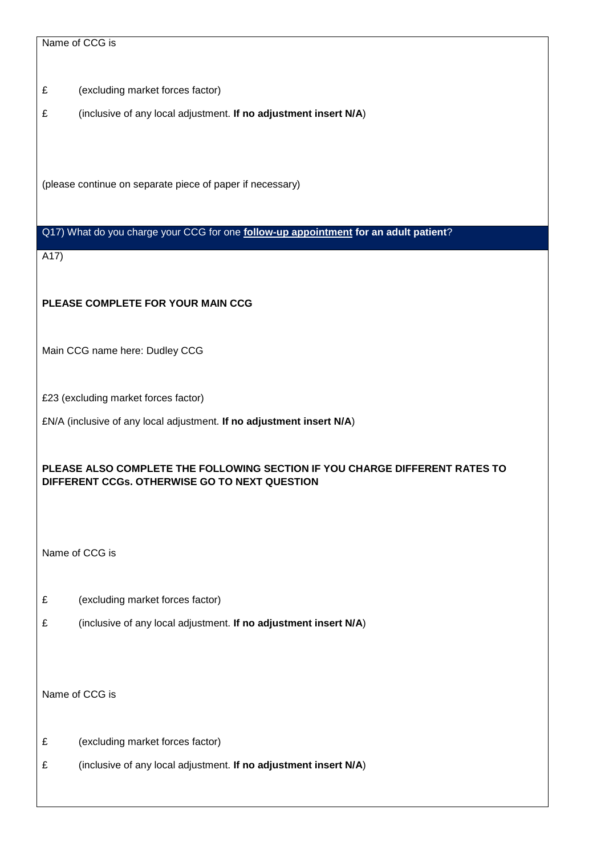Name of CCG is

£ (excluding market forces factor)

£ (inclusive of any local adjustment. **If no adjustment insert N/A**)

(please continue on separate piece of paper if necessary)

# Q17) What do you charge your CCG for one **follow-up appointment for an adult patient**?

A17)

# **PLEASE COMPLETE FOR YOUR MAIN CCG**

Main CCG name here: Dudley CCG

£23 (excluding market forces factor)

£N/A (inclusive of any local adjustment. **If no adjustment insert N/A**)

# **PLEASE ALSO COMPLETE THE FOLLOWING SECTION IF YOU CHARGE DIFFERENT RATES TO DIFFERENT CCGs. OTHERWISE GO TO NEXT QUESTION**

Name of CCG is

- £ (excluding market forces factor)
- £ (inclusive of any local adjustment. **If no adjustment insert N/A**)

Name of CCG is

- £ (excluding market forces factor)
- £ (inclusive of any local adjustment. **If no adjustment insert N/A**)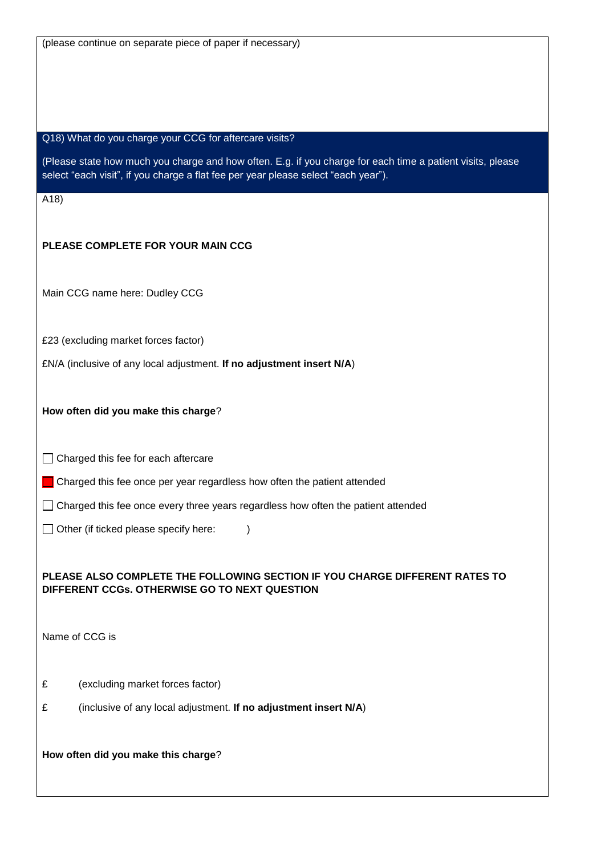| (please continue on separate piece of paper if necessary) |  |
|-----------------------------------------------------------|--|
|-----------------------------------------------------------|--|

#### Q18) What do you charge your CCG for aftercare visits?

(Please state how much you charge and how often. E.g. if you charge for each time a patient visits, please select "each visit", if you charge a flat fee per year please select "each year").

A18)

#### **PLEASE COMPLETE FOR YOUR MAIN CCG**

Main CCG name here: Dudley CCG

£23 (excluding market forces factor)

£N/A (inclusive of any local adjustment. **If no adjustment insert N/A**)

**How often did you make this charge**?

 $\Box$  Charged this fee for each aftercare

Charged this fee once per year regardless how often the patient attended

 $\Box$  Charged this fee once every three years regardless how often the patient attended

 $\Box$  Other (if ticked please specify here: )

### **PLEASE ALSO COMPLETE THE FOLLOWING SECTION IF YOU CHARGE DIFFERENT RATES TO DIFFERENT CCGs. OTHERWISE GO TO NEXT QUESTION**

Name of CCG is

- £ (excluding market forces factor)
- £ (inclusive of any local adjustment. **If no adjustment insert N/A**)

**How often did you make this charge**?